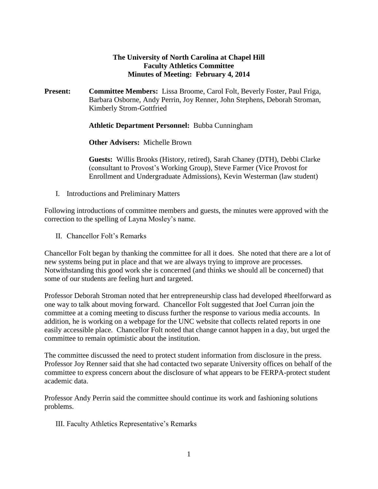## **The University of North Carolina at Chapel Hill Faculty Athletics Committee Minutes of Meeting: February 4, 2014**

**Present: Committee Members:** Lissa Broome, Carol Folt, Beverly Foster, Paul Friga, Barbara Osborne, Andy Perrin, Joy Renner, John Stephens, Deborah Stroman, Kimberly Strom-Gottfried

**Athletic Department Personnel:** Bubba Cunningham

**Other Advisers:** Michelle Brown

**Guests:** Willis Brooks (History, retired), Sarah Chaney (DTH), Debbi Clarke (consultant to Provost's Working Group), Steve Farmer (Vice Provost for Enrollment and Undergraduate Admissions), Kevin Westerman (law student)

I. Introductions and Preliminary Matters

Following introductions of committee members and guests, the minutes were approved with the correction to the spelling of Layna Mosley's name.

II. Chancellor Folt's Remarks

Chancellor Folt began by thanking the committee for all it does. She noted that there are a lot of new systems being put in place and that we are always trying to improve are processes. Notwithstanding this good work she is concerned (and thinks we should all be concerned) that some of our students are feeling hurt and targeted.

Professor Deborah Stroman noted that her entrepreneurship class had developed #heelforward as one way to talk about moving forward. Chancellor Folt suggested that Joel Curran join the committee at a coming meeting to discuss further the response to various media accounts. In addition, he is working on a webpage for the UNC website that collects related reports in one easily accessible place. Chancellor Folt noted that change cannot happen in a day, but urged the committee to remain optimistic about the institution.

The committee discussed the need to protect student information from disclosure in the press. Professor Joy Renner said that she had contacted two separate University offices on behalf of the committee to express concern about the disclosure of what appears to be FERPA-protect student academic data.

Professor Andy Perrin said the committee should continue its work and fashioning solutions problems.

III. Faculty Athletics Representative's Remarks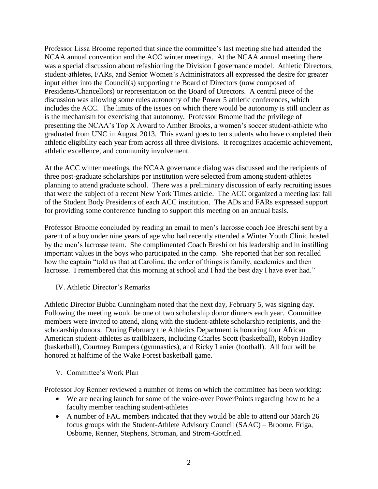Professor Lissa Broome reported that since the committee's last meeting she had attended the NCAA annual convention and the ACC winter meetings. At the NCAA annual meeting there was a special discussion about refashioning the Division I governance model. Athletic Directors, student-athletes, FARs, and Senior Women's Administrators all expressed the desire for greater input either into the Council(s) supporting the Board of Directors (now composed of Presidents/Chancellors) or representation on the Board of Directors. A central piece of the discussion was allowing some rules autonomy of the Power 5 athletic conferences, which includes the ACC. The limits of the issues on which there would be autonomy is still unclear as is the mechanism for exercising that autonomy. Professor Broome had the privilege of presenting the NCAA's Top X Award to Amber Brooks, a women's soccer student-athlete who graduated from UNC in August 2013. This award goes to ten students who have completed their athletic eligibility each year from across all three divisions. It recognizes academic achievement, athletic excellence, and community involvement.

At the ACC winter meetings, the NCAA governance dialog was discussed and the recipients of three post-graduate scholarships per institution were selected from among student-athletes planning to attend graduate school. There was a preliminary discussion of early recruiting issues that were the subject of a recent New York Times article. The ACC organized a meeting last fall of the Student Body Presidents of each ACC institution. The ADs and FARs expressed support for providing some conference funding to support this meeting on an annual basis.

Professor Broome concluded by reading an email to men's lacrosse coach Joe Breschi sent by a parent of a boy under nine years of age who had recently attended a Winter Youth Clinic hosted by the men's lacrosse team. She complimented Coach Breshi on his leadership and in instilling important values in the boys who participated in the camp. She reported that her son recalled how the captain "told us that at Carolina, the order of things is family, academics and then lacrosse. I remembered that this morning at school and I had the best day I have ever had."

## IV. Athletic Director's Remarks

Athletic Director Bubba Cunningham noted that the next day, February 5, was signing day. Following the meeting would be one of two scholarship donor dinners each year. Committee members were invited to attend, along with the student-athlete scholarship recipients, and the scholarship donors. During February the Athletics Department is honoring four African American student-athletes as trailblazers, including Charles Scott (basketball), Robyn Hadley (basketball), Courtney Bumpers (gymnastics), and Ricky Lanier (football). All four will be honored at halftime of the Wake Forest basketball game.

## V. Committee's Work Plan

Professor Joy Renner reviewed a number of items on which the committee has been working:

- We are nearing launch for some of the voice-over PowerPoints regarding how to be a faculty member teaching student-athletes
- A number of FAC members indicated that they would be able to attend our March 26 focus groups with the Student-Athlete Advisory Council (SAAC) – Broome, Friga, Osborne, Renner, Stephens, Stroman, and Strom-Gottfried.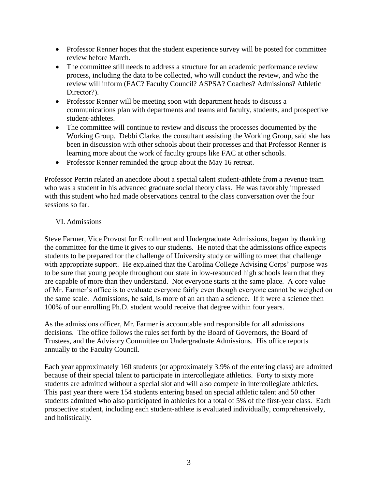- Professor Renner hopes that the student experience survey will be posted for committee review before March.
- The committee still needs to address a structure for an academic performance review process, including the data to be collected, who will conduct the review, and who the review will inform (FAC? Faculty Council? ASPSA? Coaches? Admissions? Athletic Director?).
- Professor Renner will be meeting soon with department heads to discuss a communications plan with departments and teams and faculty, students, and prospective student-athletes.
- The committee will continue to review and discuss the processes documented by the Working Group. Debbi Clarke, the consultant assisting the Working Group, said she has been in discussion with other schools about their processes and that Professor Renner is learning more about the work of faculty groups like FAC at other schools.
- Professor Renner reminded the group about the May 16 retreat.

Professor Perrin related an anecdote about a special talent student-athlete from a revenue team who was a student in his advanced graduate social theory class. He was favorably impressed with this student who had made observations central to the class conversation over the four sessions so far.

## VI. Admissions

Steve Farmer, Vice Provost for Enrollment and Undergraduate Admissions, began by thanking the committee for the time it gives to our students. He noted that the admissions office expects students to be prepared for the challenge of University study or willing to meet that challenge with appropriate support. He explained that the Carolina College Advising Corps' purpose was to be sure that young people throughout our state in low-resourced high schools learn that they are capable of more than they understand. Not everyone starts at the same place. A core value of Mr. Farmer's office is to evaluate everyone fairly even though everyone cannot be weighed on the same scale. Admissions, he said, is more of an art than a science. If it were a science then 100% of our enrolling Ph.D. student would receive that degree within four years.

As the admissions officer, Mr. Farmer is accountable and responsible for all admissions decisions. The office follows the rules set forth by the Board of Governors, the Board of Trustees, and the Advisory Committee on Undergraduate Admissions. His office reports annually to the Faculty Council.

Each year approximately 160 students (or approximately 3.9% of the entering class) are admitted because of their special talent to participate in intercollegiate athletics. Forty to sixty more students are admitted without a special slot and will also compete in intercollegiate athletics. This past year there were 154 students entering based on special athletic talent and 50 other students admitted who also participated in athletics for a total of 5% of the first-year class. Each prospective student, including each student-athlete is evaluated individually, comprehensively, and holistically.